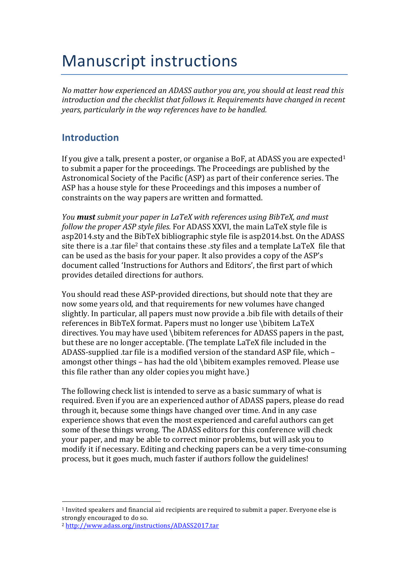# **Manuscript instructions**

*No* matter how experienced an ADASS author you are, you should at least read this *introduction and the checklist that follows it. Requirements have changed in recent years, particularly in the way references have to be handled.* 

### **Introduction**

If you give a talk, present a poster, or organise a BoF, at ADASS you are expected<sup>1</sup> to submit a paper for the proceedings. The Proceedings are published by the Astronomical Society of the Pacific (ASP) as part of their conference series. The ASP has a house style for these Proceedings and this imposes a number of constraints on the way papers are written and formatted.

*You* **must** submit your paper in LaTeX with references using BibTeX, and must *follow the proper ASP style files.* For ADASS XXVI, the main LaTeX style file is asp2014.sty and the BibTeX bibliographic style file is asp2014.bst. On the ADASS site there is a .tar file<sup>2</sup> that contains these .sty files and a template LaTeX file that can be used as the basis for your paper. It also provides a copy of the ASP's document called 'Instructions for Authors and Editors', the first part of which provides detailed directions for authors.

You should read these ASP-provided directions, but should note that they are now some years old, and that requirements for new volumes have changed slightly. In particular, all papers must now provide a bib file with details of their references in BibTeX format. Papers must no longer use \bibitem LaTeX directives. You may have used \bibitem references for ADASS papers in the past, but these are no longer acceptable. (The template LaTeX file included in the ADASS-supplied .tar file is a modified version of the standard ASP file, which – amongst other things  $-$  has had the old \bibitem examples removed. Please use this file rather than any older copies you might have.)

The following check list is intended to serve as a basic summary of what is required. Even if you are an experienced author of ADASS papers, please do read through it, because some things have changed over time. And in any case experience shows that even the most experienced and careful authors can get some of these things wrong. The ADASS editors for this conference will check your paper, and may be able to correct minor problems, but will ask you to modify it if necessary. Editing and checking papers can be a very time-consuming process, but it goes much, much faster if authors follow the guidelines!

 

 $1$  Invited speakers and financial aid recipients are required to submit a paper. Everyone else is strongly encouraged to do so.

<sup>2</sup> http://www.adass.org/instructions/ADASS2017.tar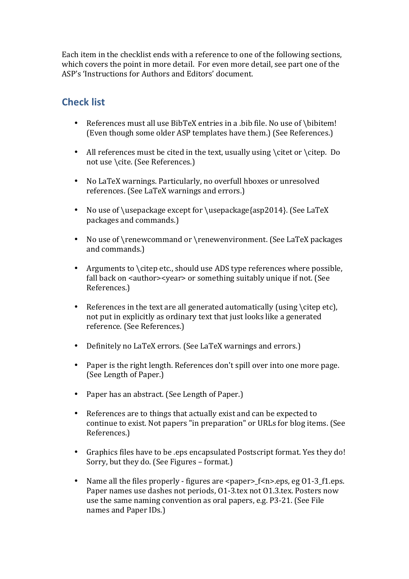Each item in the checklist ends with a reference to one of the following sections, which covers the point in more detail. For even more detail, see part one of the ASP's 'Instructions for Authors and Editors' document.

# **Check list**

- References must all use BibTeX entries in a .bib file. No use of \bibitem! (Even though some older ASP templates have them.) (See References.)
- All references must be cited in the text, usually using  $\citet{ or }citep. Do$ not use \cite. (See References.)
- No LaTeX warnings. Particularly, no overfull hboxes or unresolved references. (See LaTeX warnings and errors.)
- No use of \usepackage except for \usepackage{asp2014}. (See LaTeX packages and commands.)
- No use of \renewcommand or \renewenvironment. (See LaTeX packages and commands.)
- Arguments to  $\cdot$  citep etc., should use ADS type references where possible, fall back on <author><year> or something suitably unique if not. (See References.)
- References in the text are all generated automatically (using  $\cdot$  citep etc), not put in explicitly as ordinary text that just looks like a generated reference. (See References.)
- Definitely no LaTeX errors. (See LaTeX warnings and errors.)
- Paper is the right length. References don't spill over into one more page. (See Length of Paper.)
- Paper has an abstract. (See Length of Paper.)
- References are to things that actually exist and can be expected to continue to exist. Not papers "in preparation" or URLs for blog items. (See References.)
- Graphics files have to be .eps encapsulated Postscript format. Yes they do! Sorry, but they do. (See Figures – format.)
- Name all the files properly figures are  $\langle$  paper  $>$  f $\langle$ n $>$ .eps, eg 01-3 f1.eps. Paper names use dashes not periods, 01-3.tex not 01.3.tex. Posters now use the same naming convention as oral papers, e.g. P3-21. (See File names and Paper IDs.)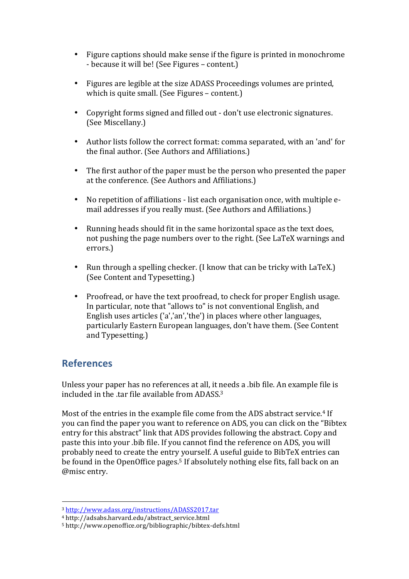- Figure captions should make sense if the figure is printed in monochrome - because it will be! (See Figures – content.)
- Figures are legible at the size ADASS Proceedings volumes are printed, which is quite small. (See Figures  $-$  content.)
- Copyright forms signed and filled out don't use electronic signatures. (See Miscellany.)
- Author lists follow the correct format: comma separated, with an 'and' for the final author. (See Authors and Affiliations.)
- The first author of the paper must be the person who presented the paper at the conference. (See Authors and Affiliations.)
- No repetition of affiliations list each organisation once, with multiple email addresses if you really must. (See Authors and Affiliations.)
- Running heads should fit in the same horizontal space as the text does, not pushing the page numbers over to the right. (See LaTeX warnings and errors.)
- Run through a spelling checker. (I know that can be tricky with  $LaTeX.$ ) (See Content and Typesetting.)
- Proofread, or have the text proofread, to check for proper English usage. In particular, note that "allows to" is not conventional English, and English uses articles  $\lceil a \rceil$  an', the  $\lceil a \rceil$  in places where other languages, particularly Eastern European languages, don't have them. (See Content and Typesetting.)

# **References**

Unless your paper has no references at all, it needs a .bib file. An example file is included in the tar file available from  $ADASS^3$ .

Most of the entries in the example file come from the ADS abstract service.<sup>4</sup> If you can find the paper you want to reference on ADS, you can click on the "Bibtex" entry for this abstract" link that ADS provides following the abstract. Copy and paste this into your .bib file. If you cannot find the reference on ADS, you will probably need to create the entry yourself. A useful guide to BibTeX entries can be found in the OpenOffice pages.<sup>5</sup> If absolutely nothing else fits, fall back on an @misc entry.

 

<sup>3</sup> http://www.adass.org/instructions/ADASS2017.tar

<sup>4</sup> http://adsabs.harvard.edu/abstract\_service.html

<sup>5</sup> http://www.openoffice.org/bibliographic/bibtex-defs.html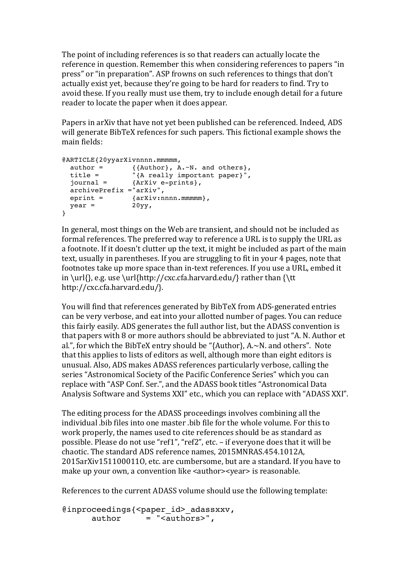The point of including references is so that readers can actually locate the reference in question. Remember this when considering references to papers "in press" or "in preparation". ASP frowns on such references to things that don't actually exist yet, because they're going to be hard for readers to find. Try to avoid these. If you really must use them, try to include enough detail for a future reader to locate the paper when it does appear.

Papers in arXiv that have not yet been published can be referenced. Indeed, ADS will generate BibTeX refences for such papers. This fictional example shows the main fields:

```
@ARTICLE{20yyarXivnnnn.mmmmmm,
author = { {\rm \{Author\} }, A.~N. and others},
 title = "{A really important paper}",
 journal = {ArXiv e-prints},
   archivePrefix ="arXiv",
 \begin{array}{lll} \texttt{eprint} & = & \texttt{~}\{ \texttt{arXiv:nnnn.mmmmm}\}, \end{array}year = 20yy,}
```
In general, most things on the Web are transient, and should not be included as formal references. The preferred way to reference a URL is to supply the URL as a footnote. If it doesn't clutter up the text, it might be included as part of the main text, usually in parentheses. If you are struggling to fit in your 4 pages, note that footnotes take up more space than in-text references. If you use a URL, embed it in \url{}, e.g. use \url{http://cxc.cfa.harvard.edu/} rather than {\tt http://cxc.cfa.harvard.edu/}.

You will find that references generated by BibTeX from ADS-generated entries can be very verbose, and eat into your allotted number of pages. You can reduce this fairly easily. ADS generates the full author list, but the ADASS convention is that papers with 8 or more authors should be abbreviated to just "A. N. Author et al.", for which the BibTeX entry should be "{Author},  $A.~N$ . and others". Note that this applies to lists of editors as well, although more than eight editors is unusual. Also, ADS makes ADASS references particularly verbose, calling the series "Astronomical Society of the Pacific Conference Series" which you can replace with "ASP Conf. Ser.", and the ADASS book titles "Astronomical Data Analysis Software and Systems XXI" etc., which you can replace with "ADASS XXI".

The editing process for the ADASS proceedings involves combining all the individual bib files into one master bib file for the whole volume. For this to work properly, the names used to cite references should be as standard as possible. Please do not use "ref1", "ref2", etc. - if everyone does that it will be chaotic. The standard ADS reference names, 2015MNRAS.454.1012A, 2015arXiv1511000110, etc. are cumbersome, but are a standard. If you have to make up your own, a convention like <author><year> is reasonable.

References to the current ADASS volume should use the following template:

```
@inproceedings{<paper_id>_adassxxv,
         \overline{\text{author}} = \overline{\text{``cauthors''}},
```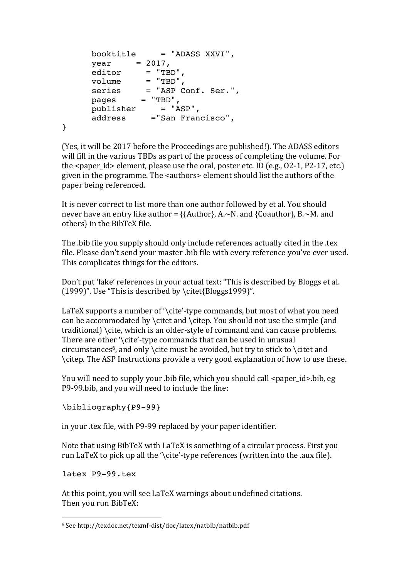```
 booktitle = "ADASS XXVI",
year = 2017, editor = "TBD",
volume = "TBD", series = "ASP Conf. Ser.",
 pages = "TBD",
 publisher = "ASP",
 address ="San Francisco",
```
}

(Yes, it will be 2017 before the Proceedings are published!). The ADASS editors will fill in the various TBDs as part of the process of completing the volume. For the  $\epsilon$  paper id> element, please use the oral, poster etc. ID (e.g., O2-1, P2-17, etc.) given in the programme. The <authors> element should list the authors of the paper being referenced.

It is never correct to list more than one author followed by et al. You should never have an entry like author =  $\{\{\text{Author}\}, \text{A.-N.} \text{ and } \{\text{Coauthor}\}, \text{B.-M.} \text{ and}$ others} in the BibTeX file.

The bib file you supply should only include references actually cited in the .tex file. Please don't send vour master bib file with every reference vou've ever used. This complicates things for the editors.

Don't put 'fake' references in your actual text: "This is described by Bloggs et al. (1999)". Use "This is described by  $\ct{Bloggs1999}$ ".

LaTeX supports a number of  $\cdot$  cite'-type commands, but most of what you need can be accommodated by \citet and \citep. You should not use the simple  $[$ and traditional) \cite, which is an older-style of command and can cause problems. There are other  $\cdot\$ cite'-type commands that can be used in unusual circumstances<sup>6</sup>, and only \cite must be avoided, but try to stick to \citet and \citep. The ASP Instructions provide a very good explanation of how to use these.

You will need to supply your .bib file, which you should call <paper id>.bib, eg P9-99.bib, and you will need to include the line:

\bibliography{P9-99}

in your .tex file, with P9-99 replaced by your paper identifier.

Note that using BibTeX with LaTeX is something of a circular process. First you run LaTeX to pick up all the '\cite'-type references (written into the .aux file).

latex P9-99.tex

 

At this point, you will see LaTeX warnings about undefined citations. Then you run BibTeX:

<sup>6</sup> See http://texdoc.net/texmf-dist/doc/latex/natbib/natbib.pdf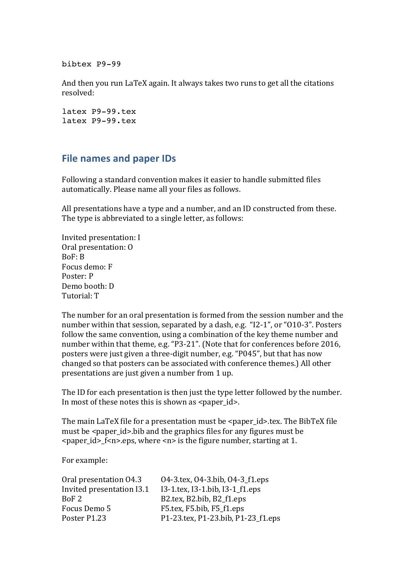bibtex P9-99

And then you run LaTeX again. It always takes two runs to get all the citations resolved:

latex P9-99.tex latex P9-99.tex

#### **File names and paper IDs**

Following a standard convention makes it easier to handle submitted files automatically. Please name all your files as follows.

All presentations have a type and a number, and an ID constructed from these. The type is abbreviated to a single letter, as follows:

Invited presentation: I Oral presentation: O  $BoF: B$ Focus demo: F Poster: P Demo booth: D Tutorial: T

The number for an oral presentation is formed from the session number and the number within that session, separated by a dash, e.g. "I2-1", or "O10-3". Posters follow the same convention, using a combination of the key theme number and number within that theme, e.g. "P3-21". (Note that for conferences before 2016, posters were just given a three-digit number, e.g. "P045", but that has now changed so that posters can be associated with conference themes.) All other presentations are just given a number from 1 up.

The ID for each presentation is then just the type letter followed by the number. In most of these notes this is shown as  $\langle$  paper\_id  $\rangle$ .

The main LaTeX file for a presentation must be  $\leq$  paper id>.tex. The BibTeX file must be  $\leq$  paper id  $\geq$ .bib and the graphics files for any figures must be  $\epsilon$  <paper\_id>\_f<n>.eps, where  $\epsilon$ n> is the figure number, starting at 1.

For example:

BoF 2 B2.tex, B2.bib, B2\_f1.eps Focus Demo 5 F5.tex, F5.bib, F5 f1.eps Poster P1.23 P1-23.tex, P1-23.bib, P1-23 f1.eps

Oral presentation  $04.3$  04-3.tex,  $04-3$ .bib,  $04-3$  f1.eps Invited presentation  $13.1$  I3-1.tex,  $13$ -1.bib,  $13$ -1  $f1.$ eps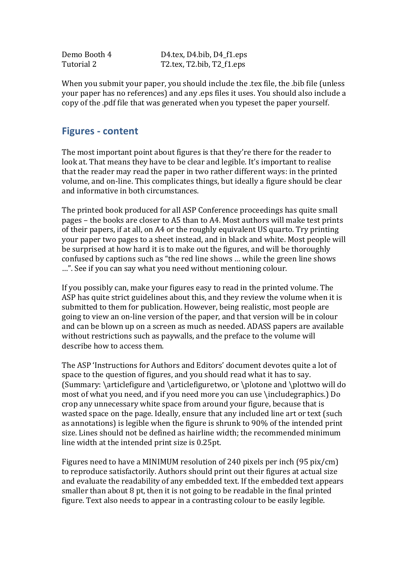Demo Booth 4 D4.tex, D4.bib, D4 f1.eps Tutorial 2 T2.tex, T2.bib, T2 f1.eps

When you submit your paper, you should include the .tex file, the .bib file (unless your paper has no references) and any .eps files it uses. You should also include a copy of the .pdf file that was generated when you typeset the paper yourself.

#### **Figures - content**

The most important point about figures is that they're there for the reader to look at. That means they have to be clear and legible. It's important to realise that the reader may read the paper in two rather different ways: in the printed volume, and on-line. This complicates things, but ideally a figure should be clear and informative in both circumstances.

The printed book produced for all ASP Conference proceedings has quite small pages – the books are closer to A5 than to A4. Most authors will make test prints of their papers, if at all, on A4 or the roughly equivalent US quarto. Try printing your paper two pages to a sheet instead, and in black and white. Most people will be surprised at how hard it is to make out the figures, and will be thoroughly confused by captions such as "the red line shows ... while the green line shows ...". See if you can say what you need without mentioning colour.

If you possibly can, make your figures easy to read in the printed volume. The ASP has quite strict guidelines about this, and they review the volume when it is submitted to them for publication. However, being realistic, most people are going to view an on-line version of the paper, and that version will be in colour and can be blown up on a screen as much as needed. ADASS papers are available without restrictions such as paywalls, and the preface to the volume will describe how to access them.

The ASP 'Instructions for Authors and Editors' document devotes quite a lot of space to the question of figures, and you should read what it has to say. (Summary: \articlefigure and \articlefiguretwo, or \plotone and \plottwo will do most of what you need, and if you need more you can use \includegraphics.) Do crop any unnecessary white space from around your figure, because that is wasted space on the page. Ideally, ensure that any included line art or text (such as annotations) is legible when the figure is shrunk to 90% of the intended print size. Lines should not be defined as hairline width; the recommended minimum line width at the intended print size is 0.25pt.

Figures need to have a MINIMUM resolution of 240 pixels per inch  $(95 \text{ pix/cm})$ to reproduce satisfactorily. Authors should print out their figures at actual size and evaluate the readability of any embedded text. If the embedded text appears smaller than about  $8$  pt, then it is not going to be readable in the final printed figure. Text also needs to appear in a contrasting colour to be easily legible.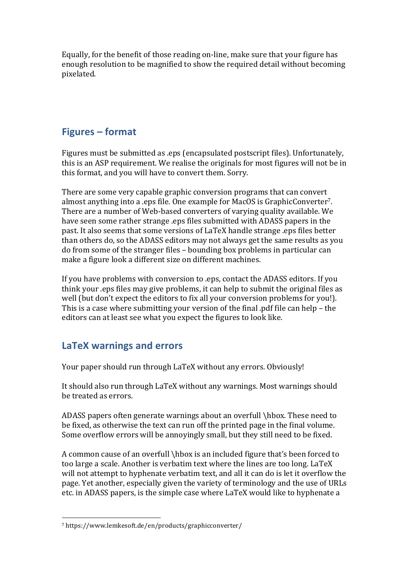Equally, for the benefit of those reading on-line, make sure that your figure has enough resolution to be magnified to show the required detail without becoming pixelated.

# **Figures – format**

Figures must be submitted as .eps (encapsulated postscript files). Unfortunately, this is an ASP requirement. We realise the originals for most figures will not be in this format, and you will have to convert them. Sorry.

There are some very capable graphic conversion programs that can convert almost anything into a .eps file. One example for MacOS is GraphicConverter<sup>7</sup>. There are a number of Web-based converters of varying quality available. We have seen some rather strange .eps files submitted with ADASS papers in the past. It also seems that some versions of LaTeX handle strange .eps files better than others do, so the ADASS editors may not always get the same results as you do from some of the stranger files – bounding box problems in particular can make a figure look a different size on different machines.

If you have problems with conversion to .eps, contact the ADASS editors. If you think your eps files may give problems, it can help to submit the original files as well (but don't expect the editors to fix all your conversion problems for you!). This is a case where submitting your version of the final .pdf file can help – the editors can at least see what you expect the figures to look like.

# LaTeX warnings and errors

Your paper should run through LaTeX without any errors. Obviously!

It should also run through LaTeX without any warnings. Most warnings should be treated as errors.

ADASS papers often generate warnings about an overfull \hbox. These need to be fixed, as otherwise the text can run off the printed page in the final volume. Some overflow errors will be annoyingly small, but they still need to be fixed.

A common cause of an overfull \hbox is an included figure that's been forced to too large a scale. Another is verbatim text where the lines are too long. LaTeX will not attempt to hyphenate verbatim text, and all it can do is let it overflow the page. Yet another, especially given the variety of terminology and the use of URLs etc. in ADASS papers, is the simple case where LaTeX would like to hyphenate a

 

<sup>7</sup> https://www.lemkesoft.de/en/products/graphicconverter/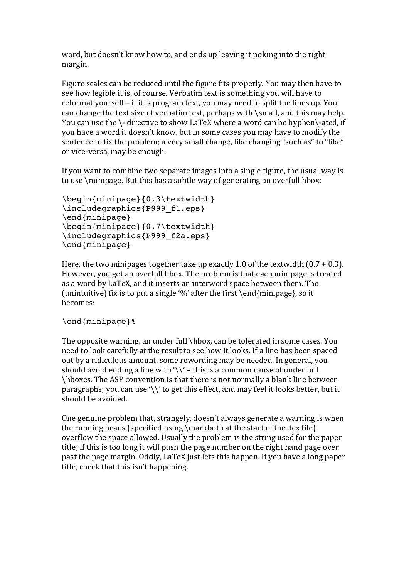word, but doesn't know how to, and ends up leaving it poking into the right margin.

Figure scales can be reduced until the figure fits properly. You may then have to see how legible it is, of course. Verbatim text is something you will have to reformat vourself – if it is program text, you may need to split the lines up. You can change the text size of verbatim text, perhaps with  $\mathcal{S}$  small, and this may help. You can use the  $\cdot$ - directive to show LaTeX where a word can be hyphen $\cdot$ -ated, if you have a word it doesn't know, but in some cases you may have to modify the sentence to fix the problem; a very small change, like changing "such as" to "like" or vice-versa, may be enough.

If you want to combine two separate images into a single figure, the usual way is to use  $\mathrm{minipage}$ . But this has a subtle way of generating an overfull hbox:

```
\begin{minipage}{0.3\textwidth}
\includegraphics{P999 f1.eps}
\end{minipage}
\begin{minipage}{0.7\textwidth}
\includegraphics{P999_f2a.eps}
\end{minipage}
```
Here, the two minipages together take up exactly 1.0 of the textwidth  $(0.7 + 0.3)$ . However, you get an overfull hbox. The problem is that each minipage is treated as a word by LaTeX, and it inserts an interword space between them. The (unintuitive) fix is to put a single '%' after the first \end{minipage}, so it becomes:

#### \end{minipage}%

The opposite warning, an under full  $\hbar$ ox, can be tolerated in some cases. You need to look carefully at the result to see how it looks. If a line has been spaced out by a ridiculous amount, some rewording may be needed. In general, you should avoid ending a line with  $\sqrt{\ }$  – this is a common cause of under full \hboxes. The ASP convention is that there is not normally a blank line between paragraphs; you can use '\\' to get this effect, and may feel it looks better, but it should be avoided.

One genuine problem that, strangely, doesn't always generate a warning is when the running heads (specified using  $\mathcal{N}$  the start of the start of the start file) overflow the space allowed. Usually the problem is the string used for the paper title; if this is too long it will push the page number on the right hand page over past the page margin. Oddly, LaTeX just lets this happen. If you have a long paper title, check that this isn't happening.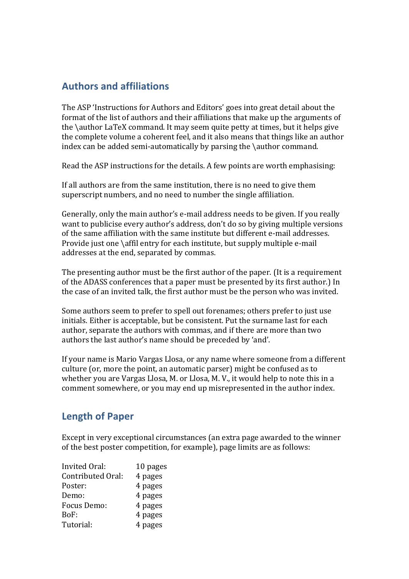### **Authors and affiliations**

The ASP 'Instructions for Authors and Editors' goes into great detail about the format of the list of authors and their affiliations that make up the arguments of the \author LaTeX command. It may seem quite petty at times, but it helps give the complete volume a coherent feel, and it also means that things like an author index can be added semi-automatically by parsing the  $\lambda$ uthor command.

Read the ASP instructions for the details. A few points are worth emphasising:

If all authors are from the same institution, there is no need to give them superscript numbers, and no need to number the single affiliation.

Generally, only the main author's e-mail address needs to be given. If you really want to publicise every author's address, don't do so by giving multiple versions of the same affiliation with the same institute but different e-mail addresses. Provide just one  $\alpha$  affil entry for each institute, but supply multiple e-mail addresses at the end, separated by commas.

The presenting author must be the first author of the paper. (It is a requirement of the ADASS conferences that a paper must be presented by its first author.) In the case of an invited talk, the first author must be the person who was invited.

Some authors seem to prefer to spell out forenames; others prefer to just use initials. Either is acceptable, but be consistent. Put the surname last for each author, separate the authors with commas, and if there are more than two authors the last author's name should be preceded by 'and'.

If your name is Mario Vargas Llosa, or any name where someone from a different culture (or, more the point, an automatic parser) might be confused as to whether you are Vargas Llosa, M. or Llosa, M. V., it would help to note this in a comment somewhere, or you may end up misrepresented in the author index.

#### **Length of Paper**

Except in very exceptional circumstances (an extra page awarded to the winner of the best poster competition, for example), page limits are as follows:

| <b>Invited Oral:</b> | 10 pages |
|----------------------|----------|
| Contributed Oral:    | 4 pages  |
| Poster:              | 4 pages  |
| Demo:                | 4 pages  |
| Focus Demo:          | 4 pages  |
| BoF:                 | 4 pages  |
| Tutorial:            | 4 pages  |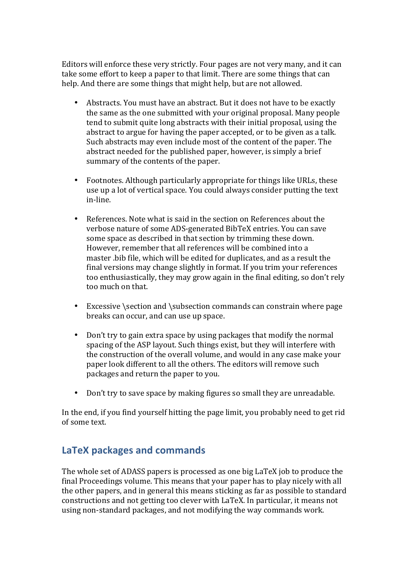Editors will enforce these very strictly. Four pages are not very many, and it can take some effort to keep a paper to that limit. There are some things that can help. And there are some things that might help, but are not allowed.

- Abstracts. You must have an abstract. But it does not have to be exactly the same as the one submitted with your original proposal. Many people tend to submit quite long abstracts with their initial proposal, using the abstract to argue for having the paper accepted, or to be given as a talk. Such abstracts may even include most of the content of the paper. The abstract needed for the published paper, however, is simply a brief summary of the contents of the paper.
- Footnotes. Although particularly appropriate for things like URLs, these use up a lot of vertical space. You could always consider putting the text in-line.
- References. Note what is said in the section on References about the verbose nature of some ADS-generated BibTeX entries. You can save some space as described in that section by trimming these down. However, remember that all references will be combined into a master bib file, which will be edited for duplicates, and as a result the final versions may change slightly in format. If you trim your references too enthusiastically, they may grow again in the final editing, so don't rely too much on that.
- Excessive \section and \subsection commands can constrain where page breaks can occur, and can use up space.
- Don't try to gain extra space by using packages that modify the normal spacing of the ASP layout. Such things exist, but they will interfere with the construction of the overall volume, and would in any case make your paper look different to all the others. The editors will remove such packages and return the paper to you.
- Don't try to save space by making figures so small they are unreadable.

In the end, if you find yourself hitting the page limit, you probably need to get rid of some text.

#### LaTeX packages and commands

The whole set of ADASS papers is processed as one big LaTeX job to produce the final Proceedings volume. This means that your paper has to play nicely with all the other papers, and in general this means sticking as far as possible to standard constructions and not getting too clever with LaTeX. In particular, it means not using non-standard packages, and not modifying the way commands work.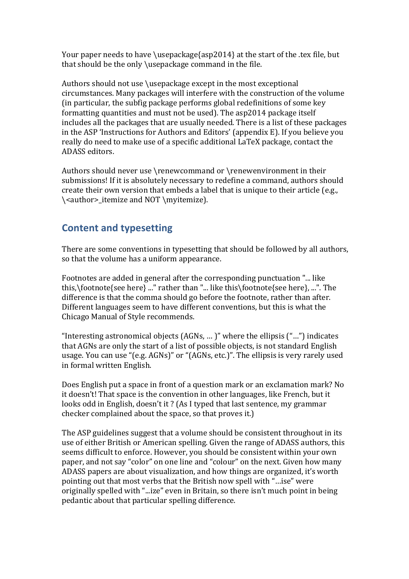Your paper needs to have \usepackage{asp2014} at the start of the .tex file, but that should be the only \usepackage command in the file.

Authors should not use  $\use$  as except in the most exceptional circumstances. Many packages will interfere with the construction of the volume (in particular, the subfig package performs global redefinitions of some key formatting quantities and must not be used). The asp2014 package itself includes all the packages that are usually needed. There is a list of these packages in the ASP 'Instructions for Authors and Editors' (appendix  $E$ ). If you believe you really do need to make use of a specific additional LaTeX package, contact the ADASS editors.

Authors should never use \renewcommand or \renewenvironment in their submissions! If it is absolutely necessary to redefine a command, authors should create their own version that embeds a label that is unique to their article  $(e.g.,)$ \<author>\_itemize and NOT \myitemize).

# **Content and typesetting**

There are some conventions in typesetting that should be followed by all authors, so that the volume has a uniform appearance.

Footnotes are added in general after the corresponding punctuation "... like this,\footnote{see here} ..." rather than "... like this\footnote{see here}, ...". The difference is that the comma should go before the footnote, rather than after. Different languages seem to have different conventions, but this is what the Chicago Manual of Style recommends.

"Interesting astronomical objects  $(AGNs, ... )$ " where the ellipsis  $($ "...") indicates that AGNs are only the start of a list of possible objects, is not standard English usage. You can use "(e.g. AGNs)" or "(AGNs, etc.)". The ellipsis is very rarely used in formal written English.

Does English put a space in front of a question mark or an exclamation mark? No it doesn't! That space is the convention in other languages, like French, but it looks odd in English, doesn't it? (As I typed that last sentence, my grammar checker complained about the space, so that proves it.)

The ASP guidelines suggest that a volume should be consistent throughout in its use of either British or American spelling. Given the range of ADASS authors, this seems difficult to enforce. However, you should be consistent within your own paper, and not say "color" on one line and "colour" on the next. Given how many ADASS papers are about visualization, and how things are organized, it's worth pointing out that most verbs that the British now spell with "... ise" were originally spelled with "...ize" even in Britain, so there isn't much point in being pedantic about that particular spelling difference.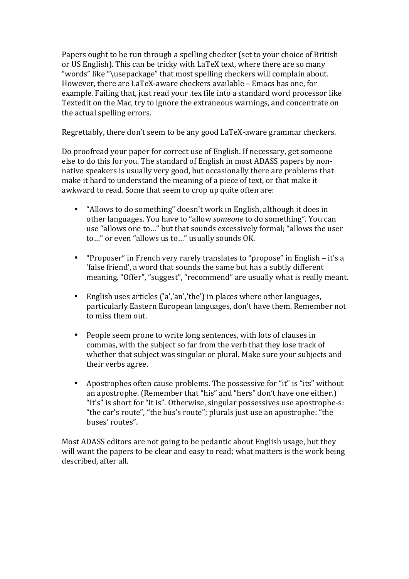Papers ought to be run through a spelling checker (set to your choice of British or US English). This can be tricky with LaTeX text, where there are so many "words" like "\usepackage" that most spelling checkers will complain about. However, there are LaTeX-aware checkers available – Emacs has one, for example. Failing that, just read your .tex file into a standard word processor like Textedit on the Mac, try to ignore the extraneous warnings, and concentrate on the actual spelling errors.

Regrettably, there don't seem to be any good LaTeX-aware grammar checkers.

Do proofread your paper for correct use of English. If necessary, get someone else to do this for you. The standard of English in most ADASS papers by nonnative speakers is usually very good, but occasionally there are problems that make it hard to understand the meaning of a piece of text, or that make it awkward to read. Some that seem to crop up quite often are:

- "Allows to do something" doesn't work in English, although it does in other languages. You have to "allow *someone* to do something". You can use "allows one to..." but that sounds excessively formal; "allows the user to..." or even "allows us to..." usually sounds OK.
- "Proposer" in French very rarely translates to "propose" in English it's a 'false friend', a word that sounds the same but has a subtly different meaning. "Offer", "suggest", "recommend" are usually what is really meant.
- English uses articles  $('a','an','the')$  in places where other languages, particularly Eastern European languages, don't have them. Remember not to miss them out.
- People seem prone to write long sentences, with lots of clauses in commas, with the subject so far from the verb that they lose track of whether that subject was singular or plural. Make sure your subjects and their verbs agree.
- Apostrophes often cause problems. The possessive for "it" is "its" without an apostrophe. (Remember that "his" and "hers" don't have one either.) "It's" is short for "it is". Otherwise, singular possessives use apostrophe-s: "the car's route", "the bus's route"; plurals just use an apostrophe: "the buses' routes".

Most ADASS editors are not going to be pedantic about English usage, but they will want the papers to be clear and easy to read; what matters is the work being described, after all.